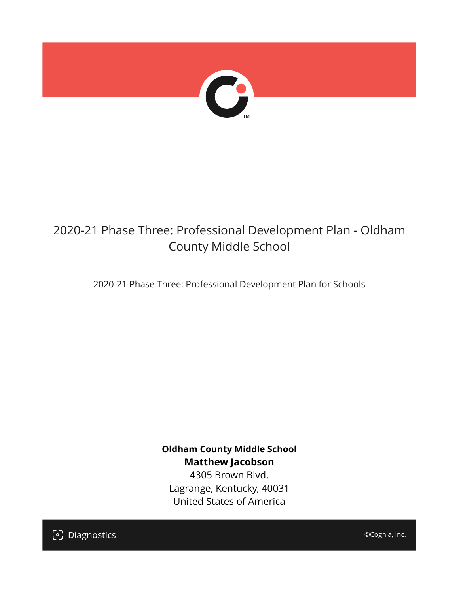

## 2020-21 Phase Three: Professional Development Plan - Oldham County Middle School

2020-21 Phase Three: Professional Development Plan for Schools

**Oldham County Middle School Matthew Jacobson**

4305 Brown Blvd. Lagrange, Kentucky, 40031 United States of America

[၁] Diagnostics

©Cognia, Inc.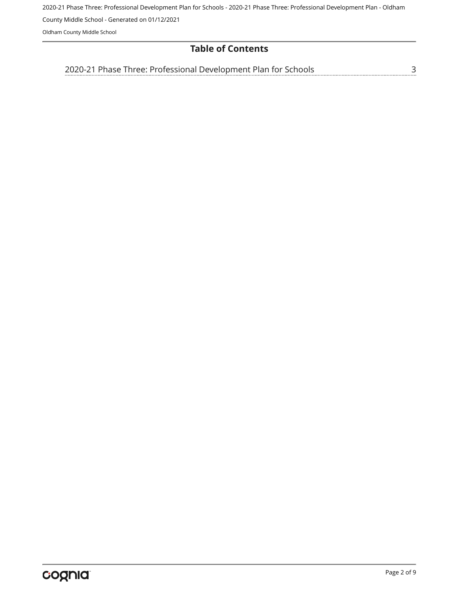2020-21 Phase Three: Professional Development Plan for Schools - 2020-21 Phase Three: Professional Development Plan - Oldham

County Middle School - Generated on 01/12/2021

Oldham County Middle School

## **Table of Contents**

[3](#page-2-0) [2020-21 Phase Three: Professional Development Plan for Schools](#page-2-0)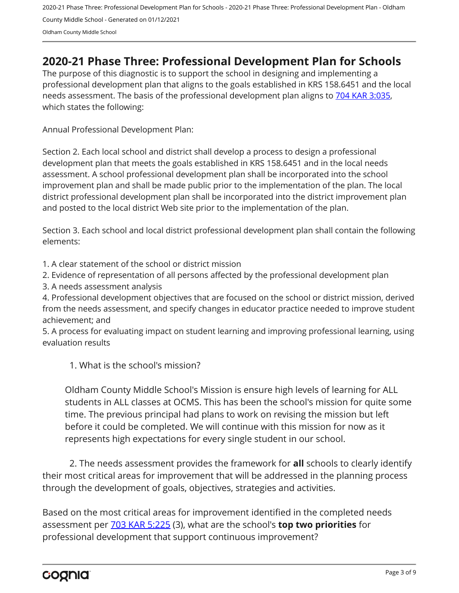2020-21 Phase Three: Professional Development Plan for Schools - 2020-21 Phase Three: Professional Development Plan - Oldham County Middle School - Generated on 01/12/2021 Oldham County Middle School

## <span id="page-2-0"></span>**2020-21 Phase Three: Professional Development Plan for Schools**

The purpose of this diagnostic is to support the school in designing and implementing a professional development plan that aligns to the goals established in KRS 158.6451 and the local needs assessment. The basis of the professional development plan aligns to [704 KAR 3:035,](https://apps.legislature.ky.gov/Law/kar/704/003/035.pdf) which states the following:

Annual Professional Development Plan:

Section 2. Each local school and district shall develop a process to design a professional development plan that meets the goals established in KRS 158.6451 and in the local needs assessment. A school professional development plan shall be incorporated into the school improvement plan and shall be made public prior to the implementation of the plan. The local district professional development plan shall be incorporated into the district improvement plan and posted to the local district Web site prior to the implementation of the plan.

Section 3. Each school and local district professional development plan shall contain the following elements:

1. A clear statement of the school or district mission

2. Evidence of representation of all persons affected by the professional development plan

3. A needs assessment analysis

4. Professional development objectives that are focused on the school or district mission, derived from the needs assessment, and specify changes in educator practice needed to improve student achievement; and

5. A process for evaluating impact on student learning and improving professional learning, using evaluation results

1. What is the school's mission?

Oldham County Middle School's Mission is ensure high levels of learning for ALL students in ALL classes at OCMS. This has been the school's mission for quite some time. The previous principal had plans to work on revising the mission but left before it could be completed. We will continue with this mission for now as it represents high expectations for every single student in our school.

2. The needs assessment provides the framework for **all** schools to clearly identify their most critical areas for improvement that will be addressed in the planning process through the development of goals, objectives, strategies and activities.

Based on the most critical areas for improvement identified in the completed needs assessment per [703 KAR 5:225](https://apps.legislature.ky.gov/law/kar/703/005/225.pdf) (3), what are the school's **top two priorities** for professional development that support continuous improvement?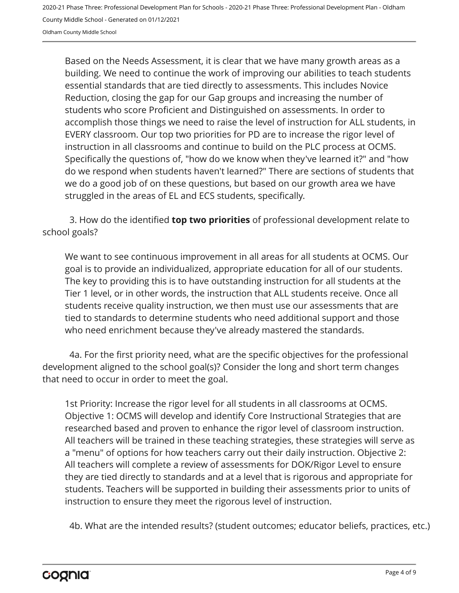2020-21 Phase Three: Professional Development Plan for Schools - 2020-21 Phase Three: Professional Development Plan - Oldham County Middle School - Generated on 01/12/2021

Oldham County Middle School

Based on the Needs Assessment, it is clear that we have many growth areas as a building. We need to continue the work of improving our abilities to teach students essential standards that are tied directly to assessments. This includes Novice Reduction, closing the gap for our Gap groups and increasing the number of students who score Proficient and Distinguished on assessments. In order to accomplish those things we need to raise the level of instruction for ALL students, in EVERY classroom. Our top two priorities for PD are to increase the rigor level of instruction in all classrooms and continue to build on the PLC process at OCMS. Specifically the questions of, "how do we know when they've learned it?" and "how do we respond when students haven't learned?" There are sections of students that we do a good job of on these questions, but based on our growth area we have struggled in the areas of EL and ECS students, specifically.

3. How do the identified **top two priorities** of professional development relate to school goals?

We want to see continuous improvement in all areas for all students at OCMS. Our goal is to provide an individualized, appropriate education for all of our students. The key to providing this is to have outstanding instruction for all students at the Tier 1 level, or in other words, the instruction that ALL students receive. Once all students receive quality instruction, we then must use our assessments that are tied to standards to determine students who need additional support and those who need enrichment because they've already mastered the standards.

4a. For the first priority need, what are the specific objectives for the professional development aligned to the school goal(s)? Consider the long and short term changes that need to occur in order to meet the goal.

1st Priority: Increase the rigor level for all students in all classrooms at OCMS. Objective 1: OCMS will develop and identify Core Instructional Strategies that are researched based and proven to enhance the rigor level of classroom instruction. All teachers will be trained in these teaching strategies, these strategies will serve as a "menu" of options for how teachers carry out their daily instruction. Objective 2: All teachers will complete a review of assessments for DOK/Rigor Level to ensure they are tied directly to standards and at a level that is rigorous and appropriate for students. Teachers will be supported in building their assessments prior to units of instruction to ensure they meet the rigorous level of instruction.

4b. What are the intended results? (student outcomes; educator beliefs, practices, etc.)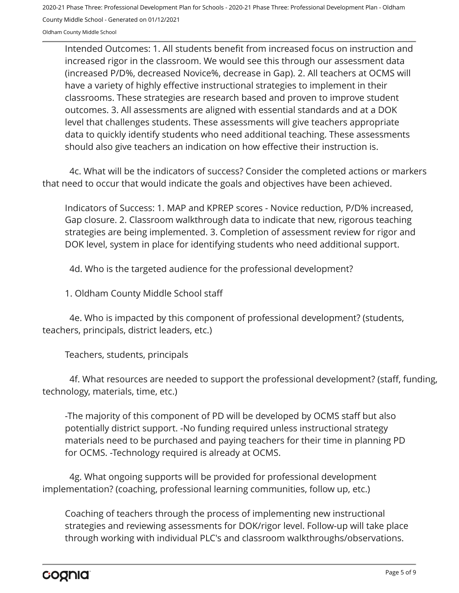2020-21 Phase Three: Professional Development Plan for Schools - 2020-21 Phase Three: Professional Development Plan - Oldham

County Middle School - Generated on 01/12/2021

Oldham County Middle School

Intended Outcomes: 1. All students benefit from increased focus on instruction and increased rigor in the classroom. We would see this through our assessment data (increased P/D%, decreased Novice%, decrease in Gap). 2. All teachers at OCMS will have a variety of highly effective instructional strategies to implement in their classrooms. These strategies are research based and proven to improve student outcomes. 3. All assessments are aligned with essential standards and at a DOK level that challenges students. These assessments will give teachers appropriate data to quickly identify students who need additional teaching. These assessments should also give teachers an indication on how effective their instruction is.

4c. What will be the indicators of success? Consider the completed actions or markers that need to occur that would indicate the goals and objectives have been achieved.

Indicators of Success: 1. MAP and KPREP scores - Novice reduction, P/D% increased, Gap closure. 2. Classroom walkthrough data to indicate that new, rigorous teaching strategies are being implemented. 3. Completion of assessment review for rigor and DOK level, system in place for identifying students who need additional support.

4d. Who is the targeted audience for the professional development?

1. Oldham County Middle School staff

4e. Who is impacted by this component of professional development? (students, teachers, principals, district leaders, etc.)

Teachers, students, principals

4f. What resources are needed to support the professional development? (staff, funding, technology, materials, time, etc.)

-The majority of this component of PD will be developed by OCMS staff but also potentially district support. -No funding required unless instructional strategy materials need to be purchased and paying teachers for their time in planning PD for OCMS. -Technology required is already at OCMS.

4g. What ongoing supports will be provided for professional development implementation? (coaching, professional learning communities, follow up, etc.)

Coaching of teachers through the process of implementing new instructional strategies and reviewing assessments for DOK/rigor level. Follow-up will take place through working with individual PLC's and classroom walkthroughs/observations.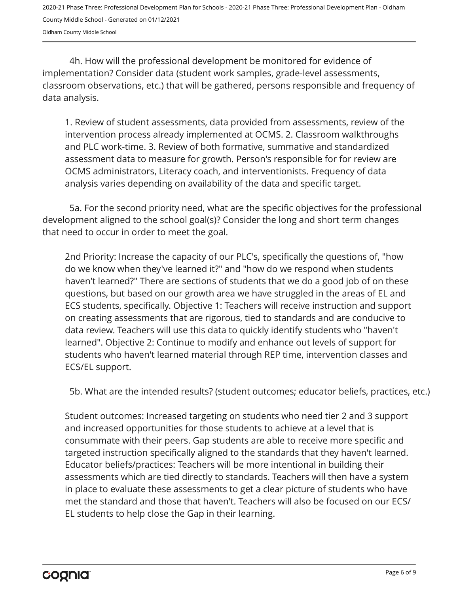2020-21 Phase Three: Professional Development Plan for Schools - 2020-21 Phase Three: Professional Development Plan - Oldham County Middle School - Generated on 01/12/2021 Oldham County Middle School

4h. How will the professional development be monitored for evidence of implementation? Consider data (student work samples, grade-level assessments, classroom observations, etc.) that will be gathered, persons responsible and frequency of data analysis.

1. Review of student assessments, data provided from assessments, review of the intervention process already implemented at OCMS. 2. Classroom walkthroughs and PLC work-time. 3. Review of both formative, summative and standardized assessment data to measure for growth. Person's responsible for for review are OCMS administrators, Literacy coach, and interventionists. Frequency of data analysis varies depending on availability of the data and specific target.

5a. For the second priority need, what are the specific objectives for the professional development aligned to the school goal(s)? Consider the long and short term changes that need to occur in order to meet the goal.

2nd Priority: Increase the capacity of our PLC's, specifically the questions of, "how do we know when they've learned it?" and "how do we respond when students haven't learned?" There are sections of students that we do a good job of on these questions, but based on our growth area we have struggled in the areas of EL and ECS students, specifically. Objective 1: Teachers will receive instruction and support on creating assessments that are rigorous, tied to standards and are conducive to data review. Teachers will use this data to quickly identify students who "haven't learned". Objective 2: Continue to modify and enhance out levels of support for students who haven't learned material through REP time, intervention classes and ECS/EL support.

5b. What are the intended results? (student outcomes; educator beliefs, practices, etc.)

Student outcomes: Increased targeting on students who need tier 2 and 3 support and increased opportunities for those students to achieve at a level that is consummate with their peers. Gap students are able to receive more specific and targeted instruction specifically aligned to the standards that they haven't learned. Educator beliefs/practices: Teachers will be more intentional in building their assessments which are tied directly to standards. Teachers will then have a system in place to evaluate these assessments to get a clear picture of students who have met the standard and those that haven't. Teachers will also be focused on our ECS/ EL students to help close the Gap in their learning.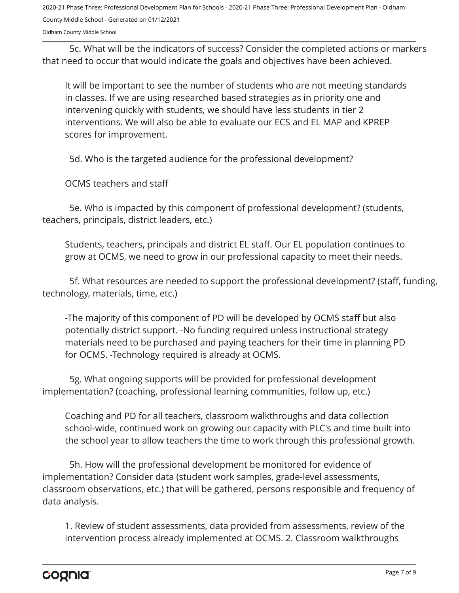2020-21 Phase Three: Professional Development Plan for Schools - 2020-21 Phase Three: Professional Development Plan - Oldham County Middle School - Generated on 01/12/2021

Oldham County Middle School

5c. What will be the indicators of success? Consider the completed actions or markers that need to occur that would indicate the goals and objectives have been achieved.

It will be important to see the number of students who are not meeting standards in classes. If we are using researched based strategies as in priority one and intervening quickly with students, we should have less students in tier 2 interventions. We will also be able to evaluate our ECS and EL MAP and KPREP scores for improvement.

5d. Who is the targeted audience for the professional development?

OCMS teachers and staff

5e. Who is impacted by this component of professional development? (students, teachers, principals, district leaders, etc.)

Students, teachers, principals and district EL staff. Our EL population continues to grow at OCMS, we need to grow in our professional capacity to meet their needs.

5f. What resources are needed to support the professional development? (staff, funding, technology, materials, time, etc.)

-The majority of this component of PD will be developed by OCMS staff but also potentially district support. -No funding required unless instructional strategy materials need to be purchased and paying teachers for their time in planning PD for OCMS. -Technology required is already at OCMS.

5g. What ongoing supports will be provided for professional development implementation? (coaching, professional learning communities, follow up, etc.)

Coaching and PD for all teachers, classroom walkthroughs and data collection school-wide, continued work on growing our capacity with PLC's and time built into the school year to allow teachers the time to work through this professional growth.

5h. How will the professional development be monitored for evidence of implementation? Consider data (student work samples, grade-level assessments, classroom observations, etc.) that will be gathered, persons responsible and frequency of data analysis.

1. Review of student assessments, data provided from assessments, review of the intervention process already implemented at OCMS. 2. Classroom walkthroughs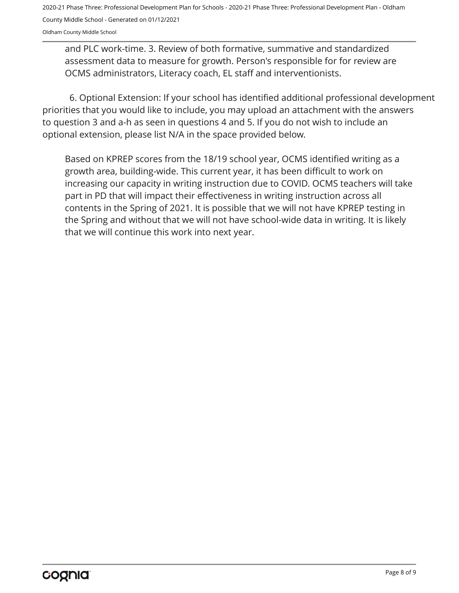2020-21 Phase Three: Professional Development Plan for Schools - 2020-21 Phase Three: Professional Development Plan - Oldham County Middle School - Generated on 01/12/2021

Oldham County Middle School

and PLC work-time. 3. Review of both formative, summative and standardized assessment data to measure for growth. Person's responsible for for review are OCMS administrators, Literacy coach, EL staff and interventionists.

6. Optional Extension: If your school has identified additional professional development priorities that you would like to include, you may upload an attachment with the answers to question 3 and a-h as seen in questions 4 and 5. If you do not wish to include an optional extension, please list N/A in the space provided below.

Based on KPREP scores from the 18/19 school year, OCMS identified writing as a growth area, building-wide. This current year, it has been difficult to work on increasing our capacity in writing instruction due to COVID. OCMS teachers will take part in PD that will impact their effectiveness in writing instruction across all contents in the Spring of 2021. It is possible that we will not have KPREP testing in the Spring and without that we will not have school-wide data in writing. It is likely that we will continue this work into next year.